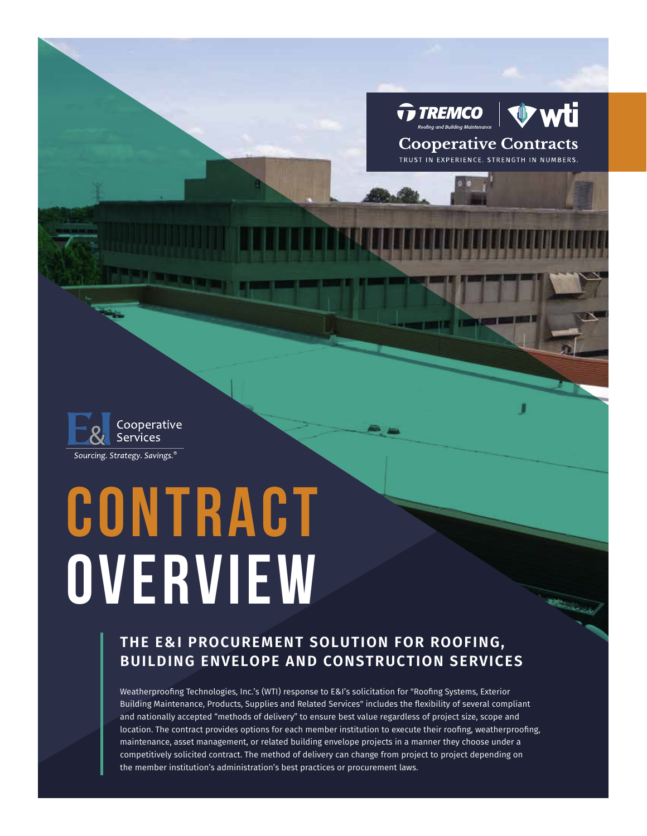

**Cooperative Contracts** TRUST IN EXPERIENCE. STRENGTH IN NUMBERS



# **CONTRACT OVERVIEW**

## **THE E&I PROCUREMENT SOLUTION FOR ROOFING, BUILDING ENVELOPE AND CONSTRUCTION SERVICES**

Weatherproofing Technologies, Inc.'s (WTI) response to E&I's solicitation for "Roofing Systems, Exterior Building Maintenance, Products, Supplies and Related Services" includes the flexibility of several compliant and nationally accepted "methods of delivery" to ensure best value regardless of project size, scope and location. The contract provides options for each member institution to execute their roofing, weatherproofing, maintenance, asset management, or related building envelope projects in a manner they choose under a competitively solicited contract. The method of delivery can change from project to project depending on the member institution's administration's best practices or procurement laws.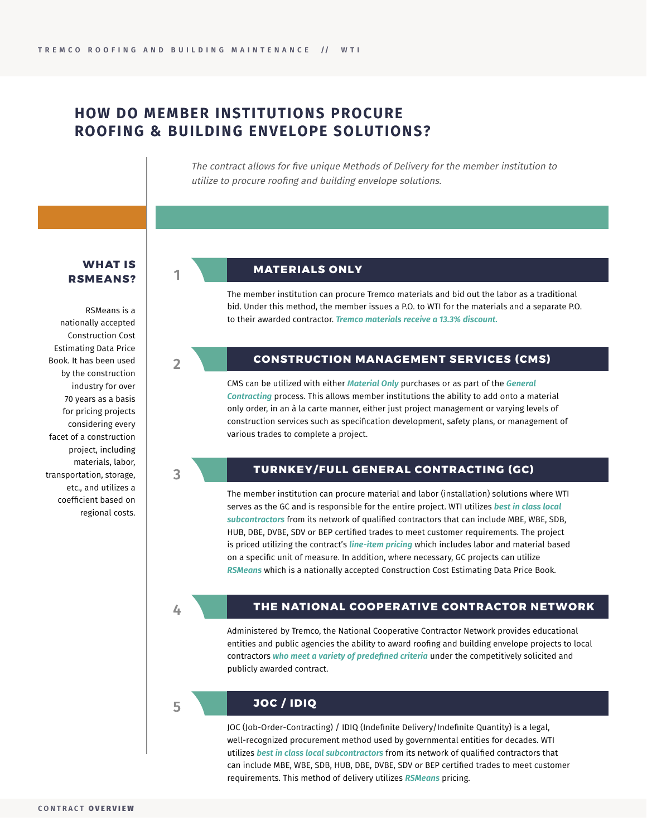**1**

**2**

**3**

### **HOW DO MEMBER INSTITUTIONS PROCURE ROOFING & BUILDING ENVELOPE SOLUTIONS?**

The contract allows for five unique Methods of Delivery for the member institution to utilize to procure roofing and building envelope solutions.

#### **WHAT IS RSMEANS?**

RSMeans is a nationally accepted Construction Cost Estimating Data Price Book. It has been used by the construction industry for over 70 years as a basis for pricing projects considering every facet of a construction project, including materials, labor, transportation, storage, etc., and utilizes a coefficient based on regional costs.

#### **MATERIALS ONLY**

The member institution can procure Tremco materials and bid out the labor as a traditional bid. Under this method, the member issues a P.O. to WTI for the materials and a separate P.O. to their awarded contractor. *Tremco materials receive a 13.3% discount.*

#### **CONSTRUCTION MANAGEMENT SERVICES (CMS)**

CMS can be utilized with either *Material Only* purchases or as part of the *General Contracting* process. This allows member institutions the ability to add onto a material only order, in an à la carte manner, either just project management or varying levels of construction services such as specification development, safety plans, or management of various trades to complete a project.

#### **TURNKEY/FULL GENERAL CONTRACTING (GC)**

The member institution can procure material and labor (installation) solutions where WTI serves as the GC and is responsible for the entire project. WTI utilizes *best in class local subcontractors* from its network of qualified contractors that can include MBE, WBE, SDB, HUB, DBE, DVBE, SDV or BEP certified trades to meet customer requirements. The project is priced utilizing the contract's *line-item pricing* which includes labor and material based on a specific unit of measure. In addition, where necessary, GC projects can utilize *RSMeans* which is a nationally accepted Construction Cost Estimating Data Price Book.

**4**

#### **THE NATIONAL COOPERATIVE CONTRACTOR NETWORK**

Administered by Tremco, the National Cooperative Contractor Network provides educational entities and public agencies the ability to award roofing and building envelope projects to local contractors *who meet a variety of predefined criteria* under the competitively solicited and publicly awarded contract.

#### **5**

#### **JOC / IDIQ**

JOC (Job-Order-Contracting) / IDIQ (Indefinite Delivery/Indefinite Quantity) is a legal, well-recognized procurement method used by governmental entities for decades. WTI utilizes *best in class local subcontractors* from its network of qualified contractors that can include MBE, WBE, SDB, HUB, DBE, DVBE, SDV or BEP certified trades to meet customer requirements. This method of delivery utilizes *RSMeans* pricing.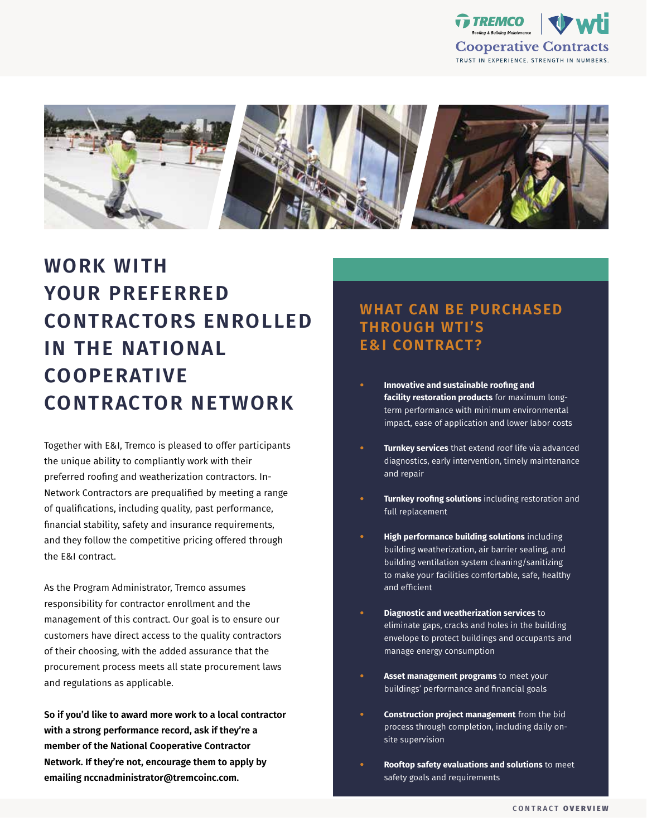



# **WORK WITH YOUR PREFERRED CONTRACTORS ENROLLED IN THE NATIONAL COOPERATIVE CONTRACTOR NETWORK**

Together with E&I, Tremco is pleased to offer participants the unique ability to compliantly work with their preferred roofing and weatherization contractors. In-Network Contractors are prequalified by meeting a range of qualifications, including quality, past performance, financial stability, safety and insurance requirements, and they follow the competitive pricing offered through the E&I contract.

As the Program Administrator, Tremco assumes responsibility for contractor enrollment and the management of this contract. Our goal is to ensure our customers have direct access to the quality contractors of their choosing, with the added assurance that the procurement process meets all state procurement laws and regulations as applicable.

**So if you'd like to award more work to a local contractor with a strong performance record, ask if they're a member of the National Cooperative Contractor Network. If they're not, encourage them to apply by emailing nccnadministrator@tremcoinc.com.**

## **WHAT CAN BE PURCHASED THROUGH WTI'S E&I CONTRACT?**

- **• Innovative and sustainable roofing and facility restoration products** for maximum longterm performance with minimum environmental impact, ease of application and lower labor costs
- **• Turnkey services** that extend roof life via advanced diagnostics, early intervention, timely maintenance and repair
- **• Turnkey roofing solutions** including restoration and full replacement
- **• High performance building solutions** including building weatherization, air barrier sealing, and building ventilation system cleaning/sanitizing to make your facilities comfortable, safe, healthy and efficient
- **• Diagnostic and weatherization services** to eliminate gaps, cracks and holes in the building envelope to protect buildings and occupants and manage energy consumption
- **• Asset management programs** to meet your buildings' performance and financial goals
- **• Construction project management** from the bid process through completion, including daily onsite supervision
- **• Rooftop safety evaluations and solutions** to meet safety goals and requirements